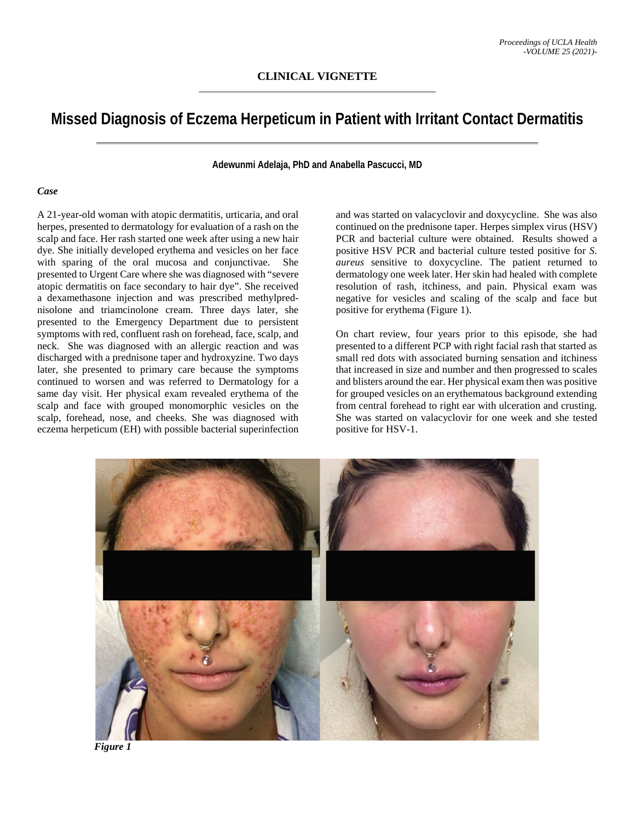# **Missed Diagnosis of Eczema Herpeticum in Patient with Irritant Contact Dermatitis**

**Adewunmi Adelaja, PhD and Anabella Pascucci, MD**

#### *Case*

A 21-year-old woman with atopic dermatitis, urticaria, and oral herpes, presented to dermatology for evaluation of a rash on the scalp and face. Her rash started one week after using a new hair dye. She initially developed erythema and vesicles on her face with sparing of the oral mucosa and conjunctivae. She presented to Urgent Care where she was diagnosed with "severe atopic dermatitis on face secondary to hair dye". She received a dexamethasone injection and was prescribed methylprednisolone and triamcinolone cream. Three days later, she presented to the Emergency Department due to persistent symptoms with red, confluent rash on forehead, face, scalp, and neck. She was diagnosed with an allergic reaction and was discharged with a prednisone taper and hydroxyzine. Two days later, she presented to primary care because the symptoms continued to worsen and was referred to Dermatology for a same day visit. Her physical exam revealed erythema of the scalp and face with grouped monomorphic vesicles on the scalp, forehead, nose, and cheeks. She was diagnosed with eczema herpeticum (EH) with possible bacterial superinfection and was started on valacyclovir and doxycycline. She was also continued on the prednisone taper. Herpes simplex virus (HSV) PCR and bacterial culture were obtained. Results showed a positive HSV PCR and bacterial culture tested positive for *S. aureus* sensitive to doxycycline. The patient returned to dermatology one week later. Her skin had healed with complete resolution of rash, itchiness, and pain. Physical exam was negative for vesicles and scaling of the scalp and face but positive for erythema (Figure 1).

On chart review, four years prior to this episode, she had presented to a different PCP with right facial rash that started as small red dots with associated burning sensation and itchiness that increased in size and number and then progressed to scales and blisters around the ear. Her physical exam then was positive for grouped vesicles on an erythematous background extending from central forehead to right ear with ulceration and crusting. She was started on valacyclovir for one week and she tested positive for HSV-1.



 *Figure 1*